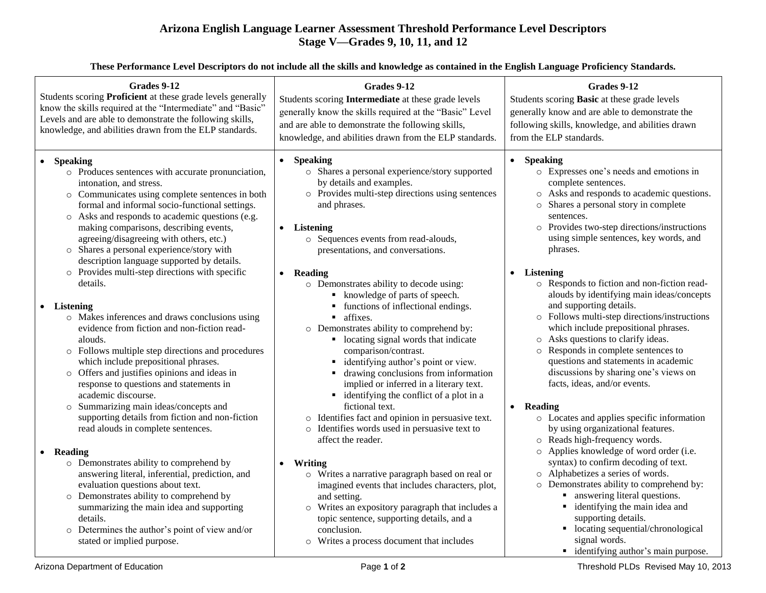## **Arizona English Language Learner Assessment Threshold Performance Level Descriptors Stage V—Grades 9, 10, 11, and 12**

**These Performance Level Descriptors do not include all the skills and knowledge as contained in the English Language Proficiency Standards.**

| generally know the skills required at the "Basic" Level | generally know and are able to demonstrate the   |
|---------------------------------------------------------|--------------------------------------------------|
| and are able to demonstrate the following skills,       | following skills, knowledge, and abilities drawn |
| knowledge, and abilities drawn from the ELP standards.  | from the ELP standards.                          |
| <b>Speaking</b>                                         | <b>Speaking</b>                                  |
| $\bullet$                                               | $\bullet$                                        |
| o Shares a personal experience/story supported          | o Expresses one's needs and emotions in          |
| by details and examples.                                | complete sentences.                              |
| o Provides multi-step directions using sentences        | o Asks and responds to academic questions.       |
| and phrases.                                            | o Shares a personal story in complete            |
| <b>Listening</b>                                        | sentences.                                       |
| o Sequences events from read-alouds,                    | o Provides two-step directions/instructions      |
| presentations, and conversations.                       | using simple sentences, key words, and           |
| Reading                                                 | phrases.                                         |
| $\bullet$                                               | <b>Listening</b>                                 |
| o Demonstrates ability to decode using:                 | $\bullet$                                        |
| • knowledge of parts of speech.                         | o Responds to fiction and non-fiction read-      |
| • functions of inflectional endings.                    | alouds by identifying main ideas/concepts        |
| • affixes.                                              | and supporting details.                          |
| o Demonstrates ability to comprehend by:                | o Follows multi-step directions/instructions     |
| • locating signal words that indicate                   | which include prepositional phrases.             |
| comparison/contrast.                                    | o Asks questions to clarify ideas.               |
| • identifying author's point or view.                   | o Responds in complete sentences to              |
| • drawing conclusions from information                  | questions and statements in academic             |
| implied or inferred in a literary text.                 | discussions by sharing one's views on            |
| • identifying the conflict of a plot in a               | facts, ideas, and/or events.                     |
| fictional text.                                         | • Reading                                        |
| o Identifies fact and opinion in persuasive text.       | o Locates and applies specific information       |
| o Identifies words used in persuasive text to           | by using organizational features.                |
| affect the reader.                                      | o Reads high-frequency words.                    |
| Writing                                                 | o Applies knowledge of word order (i.e.          |
| $\bullet$                                               | syntax) to confirm decoding of text.             |
| o Writes a narrative paragraph based on real or         | o Alphabetizes a series of words.                |
| imagined events that includes characters, plot,         | o Demonstrates ability to comprehend by:         |
| and setting.                                            | • answering literal questions.                   |
| o Writes an expository paragraph that includes a        | identifying the main idea and                    |
| topic sentence, supporting details, and a               | supporting details.                              |
| conclusion.                                             | • locating sequential/chronological              |
| o Writes a process document that includes               | signal words.                                    |
|                                                         |                                                  |